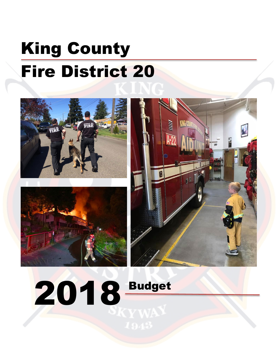# King County Fire District 20







2018 Budget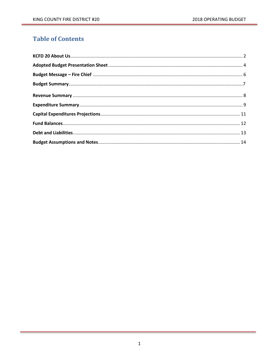## **Table of Contents**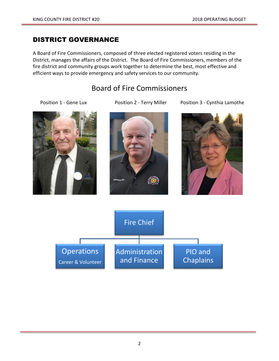## DISTRICT GOVERNANCE

A Board of Fire Commissioners, composed of three elected registered voters residing in the District, manages the affairs of the District. The Board of Fire Commissioners, members of the fire district and community groups work together to determine the best, most effective and efficient ways to provide emergency and safety services to our community.

## Board of Fire Commissioners







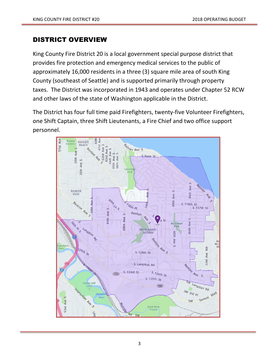## DISTRICT OVERVIEW

King County Fire District 20 is a local government special purpose district that provides fire protection and emergency medical services to the public of approximately 16,000 residents in a three (3) square mile area of south King County (southeast of Seattle) and is supported primarily through property taxes. The District was incorporated in 1943 and operates under Chapter 52 RCW and other laws of the state of Washington applicable in the District.

The District has four full time paid Firefighters, twenty-five Volunteer Firefighters, one Shift Captain, three Shift Lieutenants, a Fire Chief and two office support personnel.

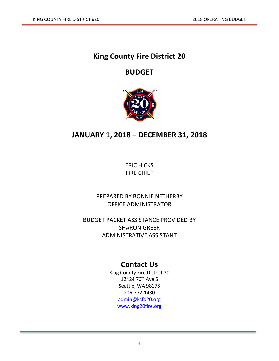# **King County Fire District 20**

## **BUDGET**



# **JANUARY 1, 2018 – DECEMBER 31, 2018**

ERIC HICKS FIRE CHIEF

PREPARED BY BONNIE NETHERBY OFFICE ADMINISTRATOR

BUDGET PACKET ASSISTANCE PROVIDED BY SHARON GREER ADMINISTRATIVE ASSISTANT

## **Contact Us**

King County Fire District 20 12424 76th Ave S Seattle, WA 98178 206-772-1430 [admin@kcfd20.org](mailto:admin@kcfd20.org) [www.king20fire.org](http://www.king20fire.org/)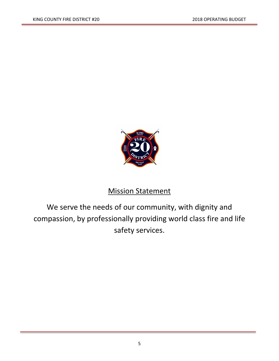

# **Mission Statement**

We serve the needs of our community, with dignity and compassion, by professionally providing world class fire and life safety services.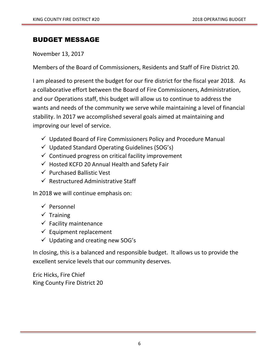## BUDGET MESSAGE

November 13, 2017

Members of the Board of Commissioners, Residents and Staff of Fire District 20.

I am pleased to present the budget for our fire district for the fiscal year 2018. As a collaborative effort between the Board of Fire Commissioners, Administration, and our Operations staff, this budget will allow us to continue to address the wants and needs of the community we serve while maintaining a level of financial stability. In 2017 we accomplished several goals aimed at maintaining and improving our level of service.

- $\checkmark$  Updated Board of Fire Commissioners Policy and Procedure Manual
- $\checkmark$  Updated Standard Operating Guidelines (SOG's)
- $\checkmark$  Continued progress on critical facility improvement
- $\checkmark$  Hosted KCFD 20 Annual Health and Safety Fair
- $\checkmark$  Purchased Ballistic Vest
- $\checkmark$  Restructured Administrative Staff

In 2018 we will continue emphasis on:

- $\checkmark$  Personnel
- $\checkmark$  Training
- $\checkmark$  Facility maintenance
- $\checkmark$  Equipment replacement
- $\checkmark$  Updating and creating new SOG's

In closing, this is a balanced and responsible budget. It allows us to provide the excellent service levels that our community deserves.

Eric Hicks, Fire Chief King County Fire District 20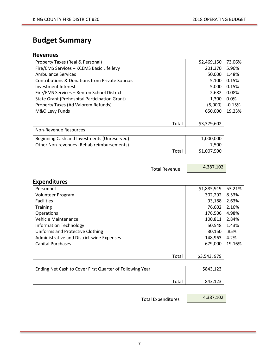# **Budget Summary**

#### **Revenues**

| Property Taxes (Real & Personal)               | \$2,469,150 | 73.06%   |
|------------------------------------------------|-------------|----------|
| Fire/EMS Services - KCEMS Basic Life levy      | 201,370     | 5.96%    |
| Ambulance Services                             | 50,000      | 1.48%    |
| Contributions & Donations from Private Sources | 5,100       | 0.15%    |
| Investment Interest                            | 5,000       | 0.15%    |
| Fire/EMS Services - Renton School District     | 2,682       | 0.08%    |
| State Grant (Prehospital Participation Grant)  | 1,300       | $0.0\%$  |
| Property Taxes (Ad Valorem Refunds)            | (5,000)     | $-0.15%$ |
| M&O Levy Funds                                 | 650,000     | 19.23%   |
|                                                |             |          |
| Total                                          | \$3,379,602 |          |
| <b>Non-Revenue Resources</b>                   |             |          |
| Beginning Cash and Investments (Unreserved)    | 1,000,000   |          |
| Other Non-revenues (Rehab reimbursements)      | 7,500       |          |
| Total                                          | \$1,007,500 |          |

Total Revenue

4,387,102

## **Expenditures**

| Personnel                                 | \$1,885,919 | 53.21% |
|-------------------------------------------|-------------|--------|
| Volunteer Program                         | 302,292     | 8.53%  |
| <b>Facilities</b>                         | 93,188      | 2.63%  |
| <b>Training</b>                           | 76,602      | 2.16%  |
| Operations                                | 176,506     | 4.98%  |
| Vehicle Maintenance                       | 100,811     | 2.84%  |
| <b>Information Technology</b>             | 50,548      | 1.43%  |
| Uniforms and Protective Clothing          | 30,150      | .85%   |
| Administrative and District-wide Expenses | 148,963     | 4.2%   |
| <b>Capital Purchases</b>                  | 679,000     | 19.16% |
|                                           |             |        |
| Total                                     | \$3,543,979 |        |

| Ending Net Cash to Cover First Quarter of Following Year | \$843,123 |
|----------------------------------------------------------|-----------|
| Total                                                    | 843,123   |

Total Expenditures

4,387,102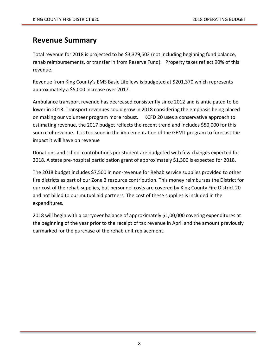## **Revenue Summary**

Total revenue for 2018 is projected to be \$3,379,602 (not including beginning fund balance, rehab reimbursements, or transfer in from Reserve Fund). Property taxes reflect 90% of this revenue.

Revenue from King County's EMS Basic Life levy is budgeted at \$201,370 which represents approximately a \$5,000 increase over 2017.

Ambulance transport revenue has decreased consistently since 2012 and is anticipated to be lower in 2018. Transport revenues could grow in 2018 considering the emphasis being placed on making our volunteer program more robust. KCFD 20 uses a conservative approach to estimating revenue, the 2017 budget reflects the recent trend and includes \$50,000 for this source of revenue. It is too soon in the implementation of the GEMT program to forecast the impact it will have on revenue

Donations and school contributions per student are budgeted with few changes expected for 2018. A state pre-hospital participation grant of approximately \$1,300 is expected for 2018.

The 2018 budget includes \$7,500 in non-revenue for Rehab service supplies provided to other fire districts as part of our Zone 3 resource contribution. This money reimburses the District for our cost of the rehab supplies, but personnel costs are covered by King County Fire District 20 and not billed to our mutual aid partners. The cost of these supplies is included in the expenditures.

2018 will begin with a carryover balance of approximately \$1,00,000 covering expenditures at the beginning of the year prior to the receipt of tax revenue in April and the amount previously earmarked for the purchase of the rehab unit replacement.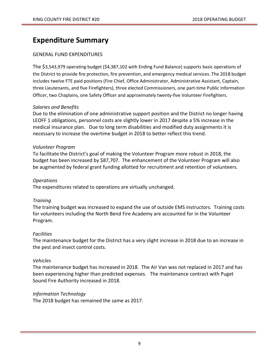## **Expenditure Summary**

#### GENERAL FUND EXPENDITURES

The \$3,543,979 operating budget (\$4,387,102 with Ending Fund Balance) supports basic operations of the District to provide fire protection, fire prevention, and emergency medical services. The 2018 budget includes twelve FTE paid positions (Fire Chief, Office Administrator, Administrative Assistant, Captain, three Lieutenants, and five Firefighters), three elected Commissioners, one part-time Public Information Officer, two Chaplains, one Safety Officer and approximately twenty-five Volunteer Firefighters.

#### *Salaries and Benefits*

Due to the elimination of one administrative support position and the District no longer having LEOFF 1 obligations, personnel costs are slightly lower in 2017 despite a 5% increase in the medical insurance plan. Due to long term disabilities and modified duty assignments it is necessary to increase the overtime budget in 2018 to better reflect this trend.

#### *Volunteer Program*

To facilitate the District's goal of making the Volunteer Program more robust in 2018, the budget has been increased by \$87,707. The enhancement of the Volunteer Program will also be augmented by federal grant funding allotted for recruitment and retention of volunteers.

#### *Operations*

The expenditures related to operations are virtually unchanged.

#### *Training*

The training budget was increased to expand the use of outside EMS instructors*.* Training costs for volunteers including the North Bend Fire Academy are accounted for in the Volunteer Program.

#### *Facilities*

The maintenance budget for the District has a very slight increase in 2018 due to an increase in the pest and insect control costs.

#### *Vehicles*

The maintenance budget has increased in 2018. The Air Van was not replaced in 2017 and has been experiencing higher than predicted expenses. The maintenance contract with Puget Sound Fire Authority increased in 2018.

#### *Information Technology*

The 2018 budget has remained the same as 2017.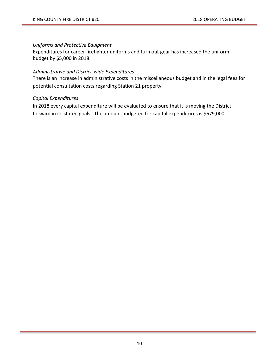#### *Uniforms and Protective Equipment*

Expenditures for career firefighter uniforms and turn out gear has increased the uniform budget by \$5,000 in 2018.

#### *Administrative and District-wide Expenditures*

There is an increase in administrative costs in the miscellaneous budget and in the legal fees for potential consultation costs regarding Station 21 property.

#### *Capital Expenditures*

In 2018 every capital expenditure will be evaluated to ensure that it is moving the District forward in its stated goals. The amount budgeted for capital expenditures is \$679,000.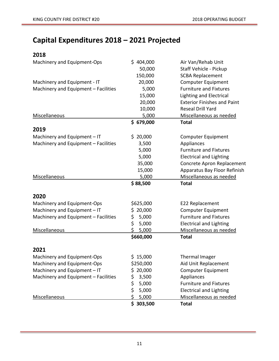# **Capital Expenditures 2018 – 2021 Projected**

| 2018                                 |               |                                    |
|--------------------------------------|---------------|------------------------------------|
| Machinery and Equipment-Ops          | \$404,000     | Air Van/Rehab Unit                 |
|                                      | 50,000        | Staff Vehicle - Pickup             |
|                                      | 150,000       | <b>SCBA Replacement</b>            |
| Machinery and Equipment - IT         | 20,000        | <b>Computer Equipment</b>          |
| Machinery and Equipment - Facilities | 5,000         | <b>Furniture and Fixtures</b>      |
|                                      | 15,000        | <b>Lighting and Electrical</b>     |
|                                      | 20,000        | <b>Exterior Finishes and Paint</b> |
|                                      | 10,000        | Reseal Drill Yard                  |
| Miscellaneous                        | 5,000         | Miscellaneous as needed            |
|                                      | \$679,000     | <b>Total</b>                       |
| 2019                                 |               |                                    |
| Machinery and Equipment - IT         | \$20,000      | <b>Computer Equipment</b>          |
| Machinery and Equipment - Facilities | 3,500         | Appliances                         |
|                                      | 5,000         | <b>Furniture and Fixtures</b>      |
|                                      | 5,000         | <b>Electrical and Lighting</b>     |
|                                      | 35,000        | Concrete Apron Replacement         |
|                                      | 15,000        | Apparatus Bay Floor Refinish       |
| Miscellaneous                        | 5,000         | Miscellaneous as needed            |
|                                      | \$88,500      | <b>Total</b>                       |
| 2020                                 |               |                                    |
| Machinery and Equipment-Ops          | \$625,000     | E22 Replacement                    |
| Machinery and Equipment - IT         | 20,000<br>\$. | <b>Computer Equipment</b>          |
| Machinery and Equipment - Facilities | 5,000<br>\$   | <b>Furniture and Fixtures</b>      |
|                                      | \$<br>5,000   | <b>Electrical and Lighting</b>     |
| Miscellaneous                        | \$<br>5,000   | Miscellaneous as needed            |
|                                      | \$660,000     | <b>Total</b>                       |
| 2021                                 |               |                                    |
| Machinery and Equipment-Ops          | \$15,000      | Thermal Imager                     |
| Machinery and Equipment-Ops          | \$250,000     | Aid Unit Replacement               |
| Machinery and Equipment - IT         | 20,000<br>\$. | <b>Computer Equipment</b>          |
| Machinery and Equipment - Facilities | \$<br>3,500   | Appliances                         |
|                                      | \$<br>5,000   | <b>Furniture and Fixtures</b>      |
|                                      | \$<br>5,000   | <b>Electrical and Lighting</b>     |
| Miscellaneous                        | \$<br>5,000   | Miscellaneous as needed            |
|                                      | \$303,500     | <b>Total</b>                       |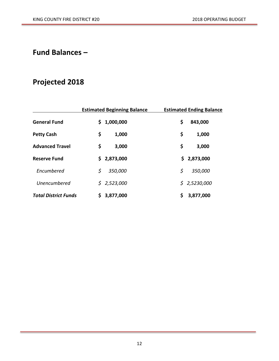## **Fund Balances –**

# **Projected 2018**

|                             | <b>Estimated Beginning Balance</b> |       | <b>Estimated Ending Balance</b> |  |
|-----------------------------|------------------------------------|-------|---------------------------------|--|
| <b>General Fund</b>         | 1,000,000<br>S                     |       | \$<br>843,000                   |  |
| <b>Petty Cash</b>           | \$                                 | 1,000 | \$<br>1,000                     |  |
| <b>Advanced Travel</b>      | \$                                 | 3,000 | \$<br>3,000                     |  |
| <b>Reserve Fund</b>         | \$2,873,000                        |       | \$2,873,000                     |  |
| Encumbered                  | \$<br>350,000                      |       | \$<br>350,000                   |  |
| Unencumbered                | \$2,523,000                        |       | \$2,5230,000                    |  |
| <b>Total District Funds</b> | \$.<br>3,877,000                   |       | \$<br>3,877,000                 |  |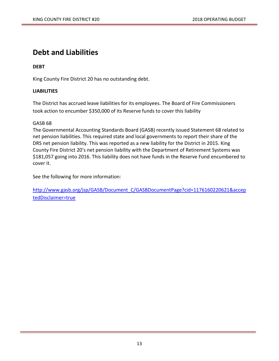# **Debt and Liabilities**

#### **DEBT**

King County Fire District 20 has no outstanding debt.

#### **LIABILITIES**

The District has accrued leave liabilities for its employees. The Board of Fire Commissioners took action to encumber \$350,000 of its Reserve funds to cover this liability

#### GASB 68

The Governmental Accounting Standards Board (GASB) recently issued Statement 68 related to net pension liabilities. This required state and local governments to report their share of the DRS net pension liability. This was reported as a new liability for the District in 2015. King County Fire District 20's net pension liability with the Department of Retirement Systems was \$181,057 going into 2016. This liability does not have funds in the Reserve Fund encumbered to cover it.

See the following for more information:

[http://www.gasb.org/jsp/GASB/Document\\_C/GASBDocumentPage?cid=1176160220621&accep](http://www.gasb.org/jsp/GASB/Document_C/GASBDocumentPage?cid=1176160220621&acceptedDisclaimer=true) [tedDisclaimer=true](http://www.gasb.org/jsp/GASB/Document_C/GASBDocumentPage?cid=1176160220621&acceptedDisclaimer=true)